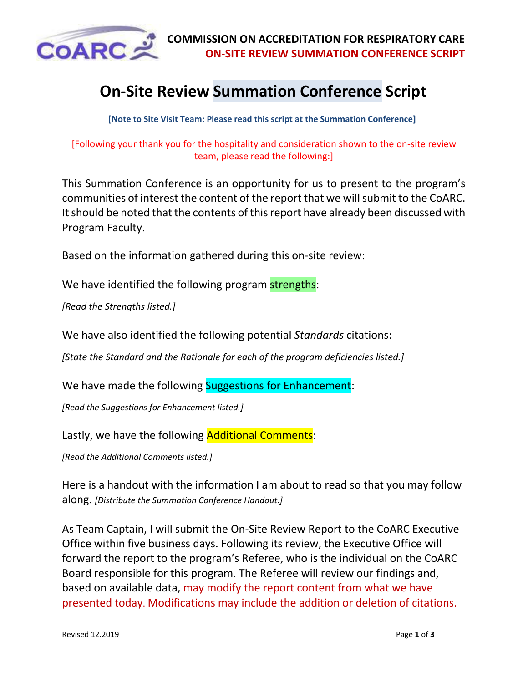

## **On-Site Review Summation Conference Script**

**[Note to Site Visit Team: Please read this script at the Summation Conference]**

[Following your thank you for the hospitality and consideration shown to the on-site review team, please read the following:]

This Summation Conference is an opportunity for us to present to the program's communities of interest the content of the report that we will submit to the CoARC. It should be noted that the contents of this report have already been discussed with Program Faculty.

Based on the information gathered during this on-site review:

We have identified the following program strengths:

*[Read the Strengths listed.]*

We have also identified the following potential *Standards* citations:

*[State the Standard and the Rationale for each of the program deficiencies listed.]*

We have made the following Suggestions for Enhancement:

*[Read the Suggestions for Enhancement listed.]*

Lastly, we have the following **Additional Comments**:

*[Read the Additional Comments listed.]*

Here is a handout with the information I am about to read so that you may follow along. *[Distribute the Summation Conference Handout.]*

As Team Captain, I will submit the On-Site Review Report to the CoARC Executive Office within five business days. Following its review, the Executive Office will forward the report to the program's Referee, who is the individual on the CoARC Board responsible for this program. The Referee will review our findings and, based on available data, may modify the report content from what we have presented today. Modifications may include the addition or deletion of citations.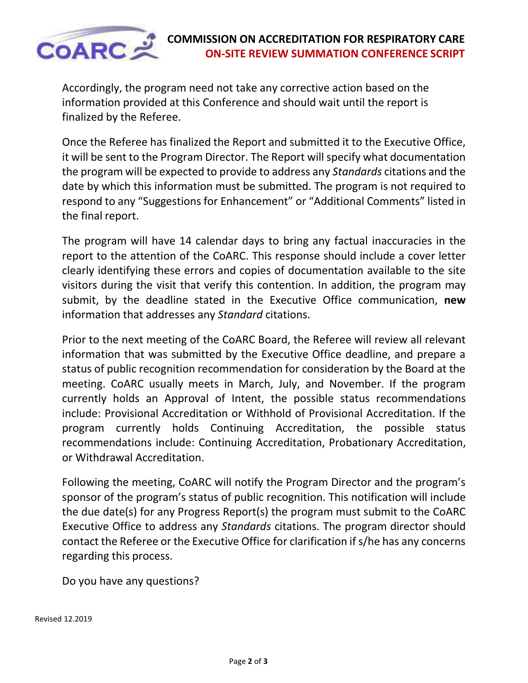

Accordingly, the program need not take any corrective action based on the information provided at this Conference and should wait until the report is finalized by the Referee.

Once the Referee has finalized the Report and submitted it to the Executive Office, it will be sent to the Program Director. The Report will specify what documentation the program will be expected to provide to address any *Standards* citations and the date by which this information must be submitted. The program is not required to respond to any "Suggestions for Enhancement" or "Additional Comments" listed in the final report.

The program will have 14 calendar days to bring any factual inaccuracies in the report to the attention of the CoARC. This response should include a cover letter clearly identifying these errors and copies of documentation available to the site visitors during the visit that verify this contention. In addition, the program may submit, by the deadline stated in the Executive Office communication, **new**  information that addresses any *Standard* citations.

Prior to the next meeting of the CoARC Board, the Referee will review all relevant information that was submitted by the Executive Office deadline, and prepare a status of public recognition recommendation for consideration by the Board at the meeting. CoARC usually meets in March, July, and November. If the program currently holds an Approval of Intent, the possible status recommendations include: Provisional Accreditation or Withhold of Provisional Accreditation. If the program currently holds Continuing Accreditation, the possible status recommendations include: Continuing Accreditation, Probationary Accreditation, or Withdrawal Accreditation.

Following the meeting, CoARC will notify the Program Director and the program's sponsor of the program's status of public recognition. This notification will include the due date(s) for any Progress Report(s) the program must submit to the CoARC Executive Office to address any *Standards* citations. The program director should contact the Referee or the Executive Office for clarification if s/he has any concerns regarding this process.

Do you have any questions?